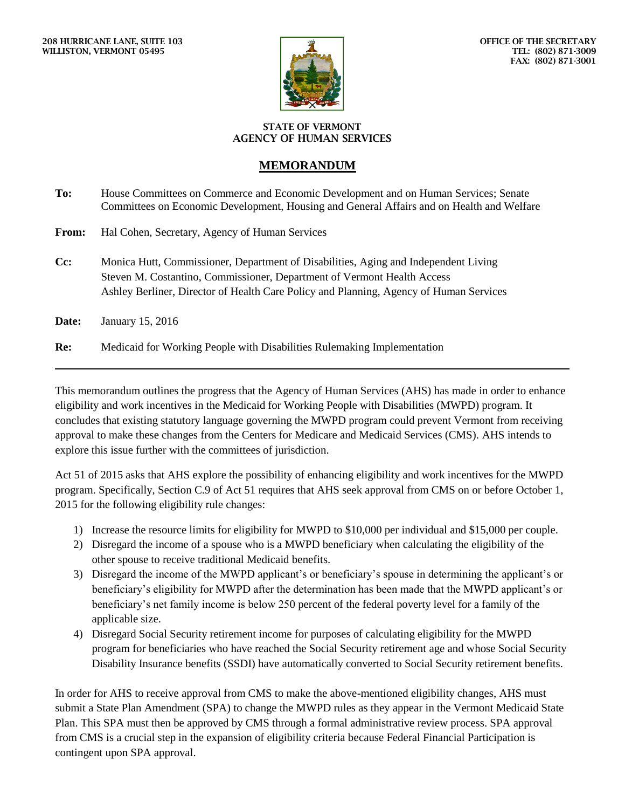

## **STATE OF VERMONT AGENCY OF HUMAN SERVICES**

## **MEMORANDUM**

| To:          | House Committees on Commerce and Economic Development and on Human Services; Senate<br>Committees on Economic Development, Housing and General Affairs and on Health and Welfare                                                                         |
|--------------|----------------------------------------------------------------------------------------------------------------------------------------------------------------------------------------------------------------------------------------------------------|
| <b>From:</b> | Hal Cohen, Secretary, Agency of Human Services                                                                                                                                                                                                           |
| $Cc$ :       | Monica Hutt, Commissioner, Department of Disabilities, Aging and Independent Living<br>Steven M. Costantino, Commissioner, Department of Vermont Health Access<br>Ashley Berliner, Director of Health Care Policy and Planning, Agency of Human Services |
| Date:        | January 15, 2016                                                                                                                                                                                                                                         |
| Re:          | Medicaid for Working People with Disabilities Rulemaking Implementation                                                                                                                                                                                  |

This memorandum outlines the progress that the Agency of Human Services (AHS) has made in order to enhance eligibility and work incentives in the Medicaid for Working People with Disabilities (MWPD) program. It concludes that existing statutory language governing the MWPD program could prevent Vermont from receiving approval to make these changes from the Centers for Medicare and Medicaid Services (CMS). AHS intends to explore this issue further with the committees of jurisdiction.

Act 51 of 2015 asks that AHS explore the possibility of enhancing eligibility and work incentives for the MWPD program. Specifically, Section C.9 of Act 51 requires that AHS seek approval from CMS on or before October 1, 2015 for the following eligibility rule changes:

- 1) Increase the resource limits for eligibility for MWPD to \$10,000 per individual and \$15,000 per couple.
- 2) Disregard the income of a spouse who is a MWPD beneficiary when calculating the eligibility of the other spouse to receive traditional Medicaid benefits.
- 3) Disregard the income of the MWPD applicant's or beneficiary's spouse in determining the applicant's or beneficiary's eligibility for MWPD after the determination has been made that the MWPD applicant's or beneficiary's net family income is below 250 percent of the federal poverty level for a family of the applicable size.
- 4) Disregard Social Security retirement income for purposes of calculating eligibility for the MWPD program for beneficiaries who have reached the Social Security retirement age and whose Social Security Disability Insurance benefits (SSDI) have automatically converted to Social Security retirement benefits.

In order for AHS to receive approval from CMS to make the above-mentioned eligibility changes, AHS must submit a State Plan Amendment (SPA) to change the MWPD rules as they appear in the Vermont Medicaid State Plan. This SPA must then be approved by CMS through a formal administrative review process. SPA approval from CMS is a crucial step in the expansion of eligibility criteria because Federal Financial Participation is contingent upon SPA approval.